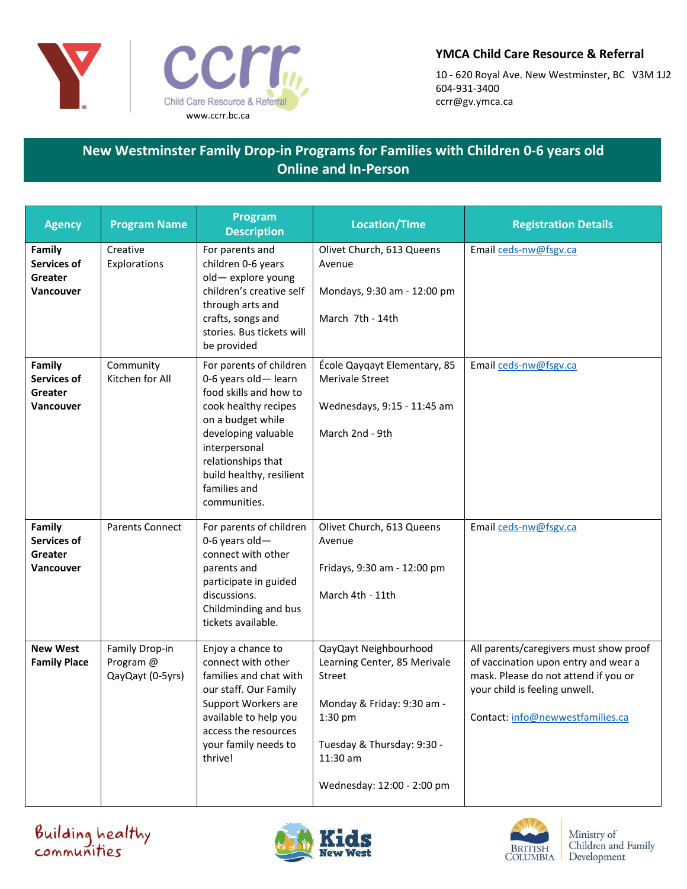

## **YMCA Child Care Resource & Referral**

10 - 620 Royal Ave. New Westminster, BC V3M 1J2 604-931-3400 ccrr@gv.ymca.ca

## **New Westminster Family Drop-in Programs for Families with Children 0-6 years old Online and In-Person**

| <b>Agency</b>                                               | <b>Program Name</b>                             | <b>Program</b><br><b>Description</b>                                                                                                                                                                                                            | <b>Location/Time</b>                                                                                                                                                             | <b>Registration Details</b>                                                                                                                                                                 |
|-------------------------------------------------------------|-------------------------------------------------|-------------------------------------------------------------------------------------------------------------------------------------------------------------------------------------------------------------------------------------------------|----------------------------------------------------------------------------------------------------------------------------------------------------------------------------------|---------------------------------------------------------------------------------------------------------------------------------------------------------------------------------------------|
| Family<br>Services of<br>Greater<br><b>Vancouver</b>        | Creative<br>Explorations                        | For parents and<br>children 0-6 years<br>old-explore young<br>children's creative self<br>through arts and<br>crafts, songs and<br>stories. Bus tickets will<br>be provided                                                                     | Olivet Church, 613 Queens<br>Avenue<br>Mondays, 9:30 am - 12:00 pm<br>March 7th - 14th                                                                                           | Email ceds-nw@fsgv.ca                                                                                                                                                                       |
| Family<br>Services of<br>Greater<br><b>Vancouver</b>        | Community<br>Kitchen for All                    | For parents of children<br>0-6 years old-learn<br>food skills and how to<br>cook healthy recipes<br>on a budget while<br>developing valuable<br>interpersonal<br>relationships that<br>build healthy, resilient<br>families and<br>communities. | École Qayqayt Elementary, 85<br><b>Merivale Street</b><br>Wednesdays, 9:15 - 11:45 am<br>March 2nd - 9th                                                                         | Email ceds-nw@fsgv.ca                                                                                                                                                                       |
| Family<br><b>Services of</b><br>Greater<br><b>Vancouver</b> | <b>Parents Connect</b>                          | For parents of children<br>0-6 years old-<br>connect with other<br>parents and<br>participate in guided<br>discussions.<br>Childminding and bus<br>tickets available.                                                                           | Olivet Church, 613 Queens<br>Avenue<br>Fridays, 9:30 am - 12:00 pm<br>March 4th - 11th                                                                                           | Email ceds-nw@fsgv.ca                                                                                                                                                                       |
| <b>New West</b><br><b>Family Place</b>                      | Family Drop-in<br>Program @<br>QayQayt (0-5yrs) | Enjoy a chance to<br>connect with other<br>families and chat with<br>our staff. Our Family<br>Support Workers are<br>available to help you<br>access the resources<br>your family needs to<br>thrive!                                           | QayQayt Neighbourhood<br>Learning Center, 85 Merivale<br>Street<br>Monday & Friday: 9:30 am -<br>1:30 pm<br>Tuesday & Thursday: 9:30 -<br>11:30 am<br>Wednesday: 12:00 - 2:00 pm | All parents/caregivers must show proof<br>of vaccination upon entry and wear a<br>mask. Please do not attend if you or<br>your child is feeling unwell.<br>Contact: info@newwestfamilies.ca |

Building healthy<br>communities



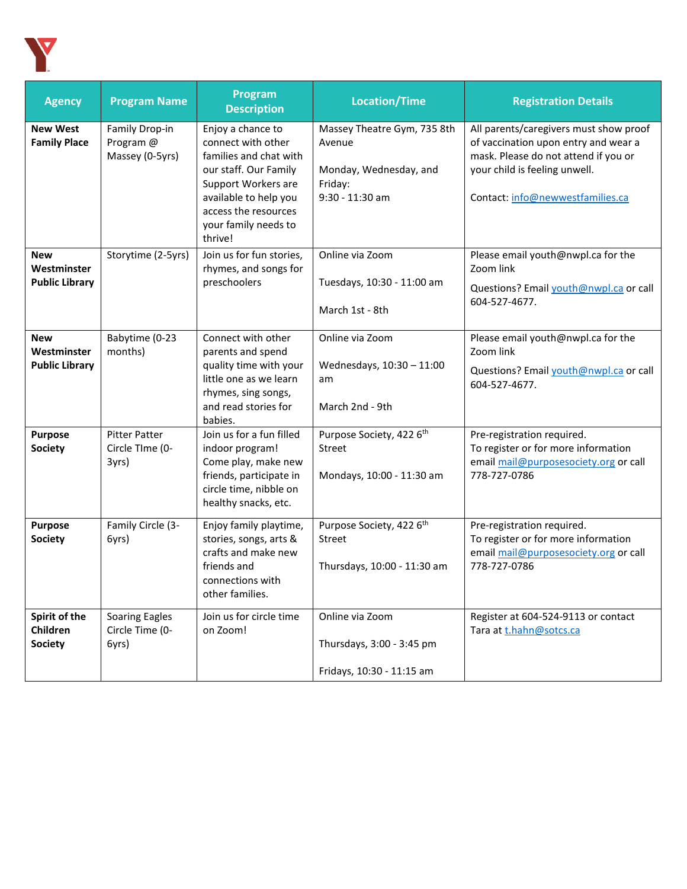

| <b>Agency</b>                                      | <b>Program Name</b>                               | Program<br><b>Description</b>                                                                                                                                                                         | <b>Location/Time</b>                                                                          | <b>Registration Details</b>                                                                                                                                                                 |
|----------------------------------------------------|---------------------------------------------------|-------------------------------------------------------------------------------------------------------------------------------------------------------------------------------------------------------|-----------------------------------------------------------------------------------------------|---------------------------------------------------------------------------------------------------------------------------------------------------------------------------------------------|
| <b>New West</b><br><b>Family Place</b>             | Family Drop-in<br>Program @<br>Massey (0-5yrs)    | Enjoy a chance to<br>connect with other<br>families and chat with<br>our staff. Our Family<br>Support Workers are<br>available to help you<br>access the resources<br>your family needs to<br>thrive! | Massey Theatre Gym, 735 8th<br>Avenue<br>Monday, Wednesday, and<br>Friday:<br>9:30 - 11:30 am | All parents/caregivers must show proof<br>of vaccination upon entry and wear a<br>mask. Please do not attend if you or<br>your child is feeling unwell.<br>Contact: info@newwestfamilies.ca |
| <b>New</b><br>Westminster<br><b>Public Library</b> | Storytime (2-5yrs)                                | Join us for fun stories,<br>rhymes, and songs for<br>preschoolers                                                                                                                                     | Online via Zoom<br>Tuesdays, 10:30 - 11:00 am<br>March 1st - 8th                              | Please email youth@nwpl.ca for the<br>Zoom link<br>Questions? Email youth@nwpl.ca or call<br>604-527-4677.                                                                                  |
| <b>New</b><br>Westminster<br><b>Public Library</b> | Babytime (0-23<br>months)                         | Connect with other<br>parents and spend<br>quality time with your<br>little one as we learn<br>rhymes, sing songs,<br>and read stories for<br>babies.                                                 | Online via Zoom<br>Wednesdays, 10:30 - 11:00<br>am<br>March 2nd - 9th                         | Please email youth@nwpl.ca for the<br>Zoom link<br>Questions? Email youth@nwpl.ca or call<br>604-527-4677.                                                                                  |
| <b>Purpose</b><br><b>Society</b>                   | <b>Pitter Patter</b><br>Circle TIme (0-<br>3yrs)  | Join us for a fun filled<br>indoor program!<br>Come play, make new<br>friends, participate in<br>circle time, nibble on<br>healthy snacks, etc.                                                       | Purpose Society, 422 6 <sup>th</sup><br><b>Street</b><br>Mondays, 10:00 - 11:30 am            | Pre-registration required.<br>To register or for more information<br>email mail@purposesociety.org or call<br>778-727-0786                                                                  |
| Purpose<br><b>Society</b>                          | Family Circle (3-<br>6yrs)                        | Enjoy family playtime,<br>stories, songs, arts &<br>crafts and make new<br>friends and<br>connections with<br>other families.                                                                         | Purpose Society, 422 6 <sup>th</sup><br>Street<br>Thursdays, 10:00 - 11:30 am                 | Pre-registration required.<br>To register or for more information<br>email mail@purposesociety.org or call<br>778-727-0786                                                                  |
| Spirit of the<br>Children<br><b>Society</b>        | <b>Soaring Eagles</b><br>Circle Time (0-<br>6yrs) | Join us for circle time<br>on Zoom!                                                                                                                                                                   | Online via Zoom<br>Thursdays, 3:00 - 3:45 pm<br>Fridays, 10:30 - 11:15 am                     | Register at 604-524-9113 or contact<br>Tara at t.hahn@sotcs.ca                                                                                                                              |